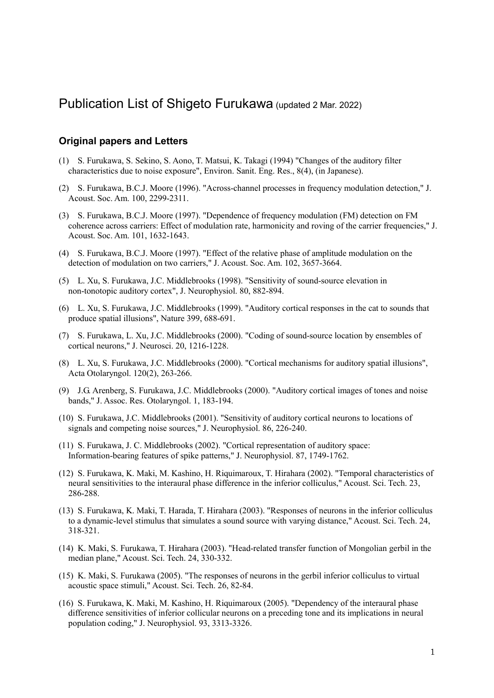# Publication List of Shigeto Furukawa (updated 2 Mar. 2022)

## **Original papers and Letters**

- (1) S. Furukawa, S. Sekino, S. Aono, T. Matsui, K. Takagi (1994) "Changes of the auditory filter characteristics due to noise exposure", Environ. Sanit. Eng. Res., 8(4), (in Japanese).
- (2) S. Furukawa, B.C.J. Moore (1996). "Across-channel processes in frequency modulation detection," J. Acoust. Soc. Am. 100, 2299-2311.
- (3) S. Furukawa, B.C.J. Moore (1997). "Dependence of frequency modulation (FM) detection on FM coherence across carriers: Effect of modulation rate, harmonicity and roving of the carrier frequencies," J. Acoust. Soc. Am. 101, 1632-1643.
- (4) S. Furukawa, B.C.J. Moore (1997). "Effect of the relative phase of amplitude modulation on the detection of modulation on two carriers," J. Acoust. Soc. Am. 102, 3657-3664.
- (5) L. Xu, S. Furukawa, J.C. Middlebrooks (1998). "Sensitivity of sound-source elevation in non-tonotopic auditory cortex", J. Neurophysiol. 80, 882-894.
- (6) L. Xu, S. Furukawa, J.C. Middlebrooks (1999). "Auditory cortical responses in the cat to sounds that produce spatial illusions", Nature 399, 688-691.
- (7) S. Furukawa, L. Xu, J.C. Middlebrooks (2000). "Coding of sound-source location by ensembles of cortical neurons," J. Neurosci. 20, 1216-1228.
- (8) L. Xu, S. Furukawa, J.C. Middlebrooks (2000). "Cortical mechanisms for auditory spatial illusions", Acta Otolaryngol. 120(2), 263-266.
- (9) J.G. Arenberg, S. Furukawa, J.C. Middlebrooks (2000). "Auditory cortical images of tones and noise bands," J. Assoc. Res. Otolaryngol. 1, 183-194.
- (10) S. Furukawa, J.C. Middlebrooks (2001). "Sensitivity of auditory cortical neurons to locations of signals and competing noise sources," J. Neurophysiol. 86, 226-240.
- (11) S. Furukawa, J. C. Middlebrooks (2002). "Cortical representation of auditory space: Information-bearing features of spike patterns," J. Neurophysiol. 87, 1749-1762.
- (12) S. Furukawa, K. Maki, M. Kashino, H. Riquimaroux, T. Hirahara (2002). "Temporal characteristics of neural sensitivities to the interaural phase difference in the inferior colliculus," Acoust. Sci. Tech. 23, 286-288.
- (13) S. Furukawa, K. Maki, T. Harada, T. Hirahara (2003). "Responses of neurons in the inferior colliculus to a dynamic-level stimulus that simulates a sound source with varying distance," Acoust. Sci. Tech. 24, 318-321.
- (14) K. Maki, S. Furukawa, T. Hirahara (2003). "Head-related transfer function of Mongolian gerbil in the median plane," Acoust. Sci. Tech. 24, 330-332.
- (15) K. Maki, S. Furukawa (2005). "The responses of neurons in the gerbil inferior colliculus to virtual acoustic space stimuli," Acoust. Sci. Tech. 26, 82-84.
- (16) S. Furukawa, K. Maki, M. Kashino, H. Riquimaroux (2005). "Dependency of the interaural phase difference sensitivities of inferior collicular neurons on a preceding tone and its implications in neural population coding," J. Neurophysiol. 93, 3313-3326.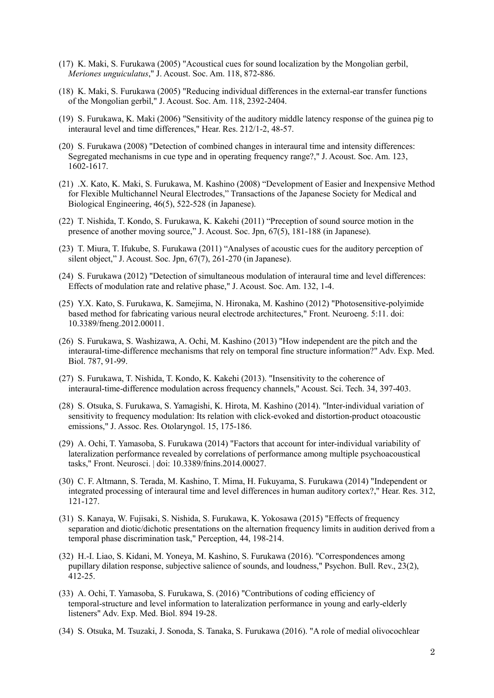- (17) K. Maki, S. Furukawa (2005) "Acoustical cues for sound localization by the Mongolian gerbil, *Meriones unguiculatus*," J. Acoust. Soc. Am. 118, 872-886.
- (18) K. Maki, S. Furukawa (2005) "Reducing individual differences in the external-ear transfer functions of the Mongolian gerbil," J. Acoust. Soc. Am. 118, 2392-2404.
- (19) S. Furukawa, K. Maki (2006) "Sensitivity of the auditory middle latency response of the guinea pig to interaural level and time differences," Hear. Res. 212/1-2, 48-57.
- (20) S. Furukawa (2008) "Detection of combined changes in interaural time and intensity differences: Segregated mechanisms in cue type and in operating frequency range?," J. Acoust. Soc. Am. 123, 1602-1617.
- (21) .X. Kato, K. Maki, S. Furukawa, M. Kashino (2008) "Development of Easier and Inexpensive Method for Flexible Multichannel Neural Electrodes," Transactions of the Japanese Society for Medical and Biological Engineering, 46(5), 522-528 (in Japanese).
- (22) T. Nishida, T. Kondo, S. Furukawa, K. Kakehi (2011) "Preception of sound source motion in the presence of another moving source," J. Acoust. Soc. Jpn, 67(5), 181-188 (in Japanese).
- (23) T. Miura, T. Ifukube, S. Furukawa (2011) "Analyses of acoustic cues for the auditory perception of silent object," J. Acoust. Soc. Jpn, 67(7), 261-270 (in Japanese).
- (24) S. Furukawa (2012) "Detection of simultaneous modulation of interaural time and level differences: Effects of modulation rate and relative phase," J. Acoust. Soc. Am. 132, 1-4.
- (25) Y.X. Kato, S. Furukawa, K. Samejima, N. Hironaka, M. Kashino (2012) "Photosensitive-polyimide based method for fabricating various neural electrode architectures," Front. Neuroeng. 5:11. doi: 10.3389/fneng.2012.00011.
- (26) S. Furukawa, S. Washizawa, A. Ochi, M. Kashino (2013) "How independent are the pitch and the interaural-time-difference mechanisms that rely on temporal fine structure information?" Adv. Exp. Med. Biol. 787, 91-99.
- (27) S. Furukawa, T. Nishida, T. Kondo, K. Kakehi (2013). "Insensitivity to the coherence of interaural-time-difference modulation across frequency channels," Acoust. Sci. Tech. 34, 397-403.
- (28) S. Otsuka, S. Furukawa, S. Yamagishi, K. Hirota, M. Kashino (2014). "Inter-individual variation of sensitivity to frequency modulation: Its relation with click-evoked and distortion-product otoacoustic emissions," J. Assoc. Res. Otolaryngol. 15, 175-186.
- (29) A. Ochi, T. Yamasoba, S. Furukawa (2014) "Factors that account for inter-individual variability of lateralization performance revealed by correlations of performance among multiple psychoacoustical tasks," Front. Neurosci. | doi: 10.3389/fnins.2014.00027.
- (30) C. F. Altmann, S. Terada, M. Kashino, T. Mima, H. Fukuyama, S. Furukawa (2014) "Independent or integrated processing of interaural time and level differences in human auditory cortex?," Hear. Res. 312, 121-127.
- (31) S. Kanaya, W. Fujisaki, S. Nishida, S. Furukawa, K. Yokosawa (2015) "Effects of frequency separation and diotic/dichotic presentations on the alternation frequency limits in audition derived from a temporal phase discrimination task," Perception, 44, 198-214.
- (32) H.-I. Liao, S. Kidani, M. Yoneya, M. Kashino, S. Furukawa (2016). "Correspondences among pupillary dilation response, subjective salience of sounds, and loudness," Psychon. Bull. Rev., 23(2), 412-25.
- (33) A. Ochi, T. Yamasoba, S. Furukawa, S. (2016) "Contributions of coding efficiency of temporal-structure and level information to lateralization performance in young and early-elderly listeners" Adv. Exp. Med. Biol. 894 19-28.
- (34) S. Otsuka, M. Tsuzaki, J. Sonoda, S. Tanaka, S. Furukawa (2016). "A role of medial olivocochlear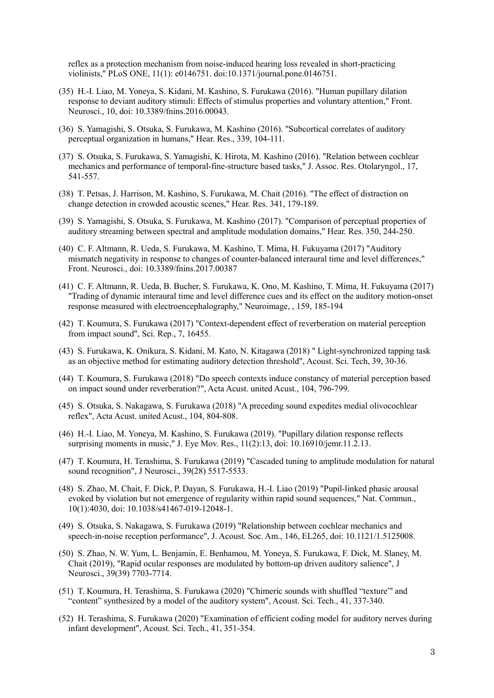reflex as a protection mechanism from noise-induced hearing loss revealed in short-practicing violinists," PLoS ONE, 11(1): e0146751. doi:10.1371/journal.pone.0146751.

- (35) H.-I. Liao, M. Yoneya, S. Kidani, M. Kashino, S. Furukawa (2016). "Human pupillary dilation response to deviant auditory stimuli: Effects of stimulus properties and voluntary attention," Front. Neurosci., 10, doi: 10.3389/fnins.2016.00043.
- (36) S. Yamagishi, S. Otsuka, S. Furukawa, M. Kashino (2016). "Subcortical correlates of auditory perceptual organization in humans," Hear. Res., 339, 104-111.
- (37) S. Otsuka, S. Furukawa, S. Yamagishi, K. Hirota, M. Kashino (2016). "Relation between cochlear mechanics and performance of temporal-fine-structure based tasks," J. Assoc. Res. Otolaryngol., 17, 541-557.
- (38) T. Petsas, J. Harrison, M. Kashino, S. Furukawa, M. Chait (2016). "The effect of distraction on change detection in crowded acoustic scenes," Hear. Res. 341, 179-189.
- (39) S. Yamagishi, S. Otsuka, S. Furukawa, M. Kashino (2017). "Comparison of perceptual properties of auditory streaming between spectral and amplitude modulation domains," Hear. Res. 350, 244-250.
- (40) C. F. Altmann, R. Ueda, S. Furukawa, M. Kashino, T. Mima, H. Fukuyama (2017) "Auditory mismatch negativity in response to changes of counter-balanced interaural time and level differences," Front. Neurosci., doi: 10.3389/fnins.2017.00387
- (41) C. F. Altmann, R. Ueda, B. Bucher, S. Furukawa, K. Ono, M. Kashino, T. Mima, H. Fukuyama (2017) "Trading of dynamic interaural time and level difference cues and its effect on the auditory motion-onset response measured with electroencephalography," Neuroimage, , 159, 185-194
- (42) T. Koumura, S. Furukawa (2017) "Context-dependent effect of reverberation on material perception from impact sound", Sci. Rep., 7, 16455.
- (43) S. Furukawa, K. Onikura, S. Kidani, M. Kato, N. Kitagawa (2018) " Light-synchronized tapping task as an objective method for estimating auditory detection threshold", Acoust. Sci. Tech, 39, 30-36.
- (44) T. Koumura, S. Furukawa (2018) "Do speech contexts induce constancy of material perception based on impact sound under reverberation?", Acta Acust. united Acust., 104, 796-799.
- (45) S. Otsuka, S. Nakagawa, S. Furukawa (2018) "A preceding sound expedites medial olivocochlear reflex", Acta Acust. united Acust., 104, 804-808.
- (46) H.-I. Liao, M. Yoneya, M. Kashino, S. Furukawa (2019). "Pupillary dilation response reflects surprising moments in music," J. Eye Mov. Res., 11(2):13, doi: 10.16910/jemr.11.2.13.
- (47) T. Koumura, H. Terashima, S. Furukawa (2019) "Cascaded tuning to amplitude modulation for natural sound recognition", J Neurosci., 39(28) 5517-5533.
- (48) S. Zhao, M. Chait, F. Dick, P. Dayan, S. Furukawa, H.-I. Liao (2019) "Pupil-linked phasic arousal evoked by violation but not emergence of regularity within rapid sound sequences," Nat. Commun., 10(1):4030, doi: 10.1038/s41467-019-12048-1.
- (49) S. Otsuka, S. Nakagawa, S. Furukawa (2019) "Relationship between cochlear mechanics and speech-in-noise reception performance", J. Acoust. Soc. Am., 146, EL265, doi: 10.1121/1.5125008.
- (50) S. Zhao, N. W. Yum, L. Benjamin, E. Benhamou, M. Yoneya, S. Furukawa, F. Dick, M. Slaney, M. Chait (2019), "Rapid ocular responses are modulated by bottom-up driven auditory salience", J Neurosci., 39(39) 7703-7714.
- (51) T. Koumura, H. Terashima, S. Furukawa (2020) "Chimeric sounds with shuffled "texture"' and "content" synthesized by a model of the auditory system", Acoust. Sci. Tech., 41, 337-340.
- (52) H. Terashima, S. Furukawa (2020) "Examination of efficient coding model for auditory nerves during infant development", Acoust. Sci. Tech., 41, 351-354.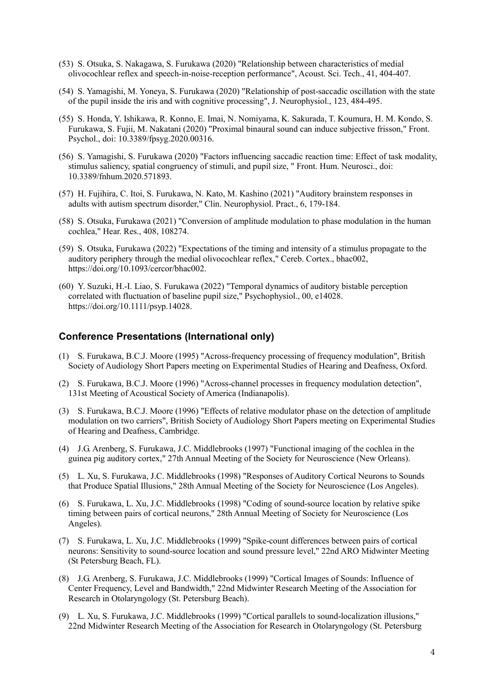- (53) S. Otsuka, S. Nakagawa, S. Furukawa (2020) "Relationship between characteristics of medial olivocochlear reflex and speech-in-noise-reception performance", Acoust. Sci. Tech., 41, 404-407.
- (54) S. Yamagishi, M. Yoneya, S. Furukawa (2020) "Relationship of post-saccadic oscillation with the state of the pupil inside the iris and with cognitive processing", J. Neurophysiol., 123, 484-495.
- (55) S. Honda, Y. Ishikawa, R. Konno, E. Imai, N. Nomiyama, K. Sakurada, T. Koumura, H. M. Kondo, S. Furukawa, S. Fujii, M. Nakatani (2020) "Proximal binaural sound can induce subjective frisson," Front. Psychol., doi: 10.3389/fpsyg.2020.00316.
- (56) S. Yamagishi, S. Furukawa (2020) "Factors influencing saccadic reaction time: Effect of task modality, stimulus saliency, spatial congruency of stimuli, and pupil size, " Front. Hum. Neurosci., doi: 10.3389/fnhum.2020.571893.
- (57) H. Fujihira, C. Itoi, S. Furukawa, N. Kato, M. Kashino (2021) "Auditory brainstem responses in adults with autism spectrum disorder," Clin. Neurophysiol. Pract., 6, 179-184.
- (58) S. Otsuka, Furukawa (2021) "Conversion of amplitude modulation to phase modulation in the human cochlea," Hear. Res., 408, 108274.
- (59) S. Otsuka, Furukawa (2022) "Expectations of the timing and intensity of a stimulus propagate to the auditory periphery through the medial olivocochlear reflex," Cereb. Cortex., bhac002, https://doi.org/10.1093/cercor/bhac002.
- (60) Y. Suzuki, H.-I. Liao, S. Furukawa (2022) "Temporal dynamics of auditory bistable perception correlated with fluctuation of baseline pupil size," Psychophysiol., 00, e14028. https://doi.org/10.1111/psyp.14028.

## **Conference Presentations (International only)**

- (1) S. Furukawa, B.C.J. Moore (1995) "Across-frequency processing of frequency modulation", British Society of Audiology Short Papers meeting on Experimental Studies of Hearing and Deafness, Oxford.
- (2) S. Furukawa, B.C.J. Moore (1996) "Across-channel processes in frequency modulation detection", 131st Meeting of Acoustical Society of America (Indianapolis).
- (3) S. Furukawa, B.C.J. Moore (1996) "Effects of relative modulator phase on the detection of amplitude modulation on two carriers", British Society of Audiology Short Papers meeting on Experimental Studies of Hearing and Deafness, Cambridge.
- (4) J.G. Arenberg, S. Furukawa, J.C. Middlebrooks (1997) "Functional imaging of the cochlea in the guinea pig auditory cortex," 27th Annual Meeting of the Society for Neuroscience (New Orleans).
- (5) L. Xu, S. Furukawa, J.C. Middlebrooks (1998) "Responses of Auditory Cortical Neurons to Sounds that Produce Spatial Illusions," 28th Annual Meeting of the Society for Neuroscience (Los Angeles).
- (6) S. Furukawa, L. Xu, J.C. Middlebrooks (1998) "Coding of sound-source location by relative spike timing between pairs of cortical neurons," 28th Annual Meeting of Society for Neuroscience (Los Angeles).
- (7) S. Furukawa, L. Xu, J.C. Middlebrooks (1999) "Spike-count differences between pairs of cortical neurons: Sensitivity to sound-source location and sound pressure level," 22nd ARO Midwinter Meeting (St Petersburg Beach, FL).
- (8) J.G. Arenberg, S. Furukawa, J.C. Middlebrooks (1999) "Cortical Images of Sounds: Influence of Center Frequency, Level and Bandwidth," 22nd Midwinter Research Meeting of the Association for Research in Otolaryngology (St. Petersburg Beach).
- (9) L. Xu, S. Furukawa, J.C. Middlebrooks (1999) "Cortical parallels to sound-localization illusions," 22nd Midwinter Research Meeting of the Association for Research in Otolaryngology (St. Petersburg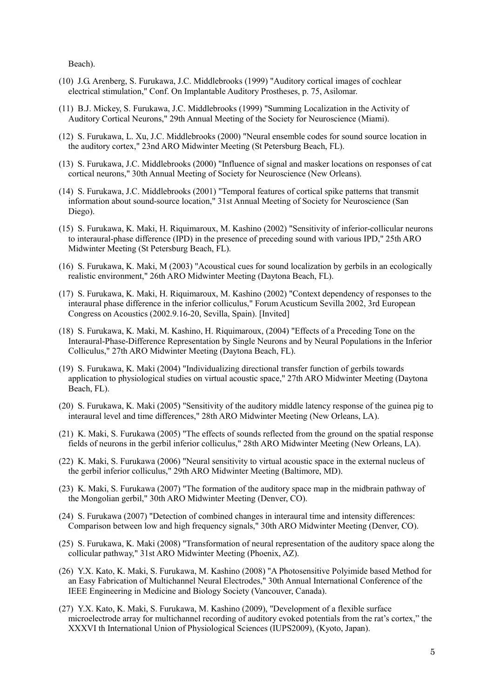Beach).

- (10) J.G. Arenberg, S. Furukawa, J.C. Middlebrooks (1999) "Auditory cortical images of cochlear electrical stimulation," Conf. On Implantable Auditory Prostheses, p. 75, Asilomar.
- (11) B.J. Mickey, S. Furukawa, J.C. Middlebrooks (1999) "Summing Localization in the Activity of Auditory Cortical Neurons," 29th Annual Meeting of the Society for Neuroscience (Miami).
- (12) S. Furukawa, L. Xu, J.C. Middlebrooks (2000) "Neural ensemble codes for sound source location in the auditory cortex," 23nd ARO Midwinter Meeting (St Petersburg Beach, FL).
- (13) S. Furukawa, J.C. Middlebrooks (2000) "Influence of signal and masker locations on responses of cat cortical neurons," 30th Annual Meeting of Society for Neuroscience (New Orleans).
- (14) S. Furukawa, J.C. Middlebrooks (2001) "Temporal features of cortical spike patterns that transmit information about sound-source location," 31st Annual Meeting of Society for Neuroscience (San Diego).
- (15) S. Furukawa, K. Maki, H. Riquimaroux, M. Kashino (2002) "Sensitivity of inferior-collicular neurons to interaural-phase difference (IPD) in the presence of preceding sound with various IPD," 25th ARO Midwinter Meeting (St Petersburg Beach, FL).
- (16) S. Furukawa, K. Maki, M (2003) "Acoustical cues for sound localization by gerbils in an ecologically realistic environment," 26th ARO Midwinter Meeting (Daytona Beach, FL).
- (17) S. Furukawa, K. Maki, H. Riquimaroux, M. Kashino (2002) "Context dependency of responses to the interaural phase difference in the inferior colliculus," Forum Acusticum Sevilla 2002, 3rd European Congress on Acoustics (2002.9.16-20, Sevilla, Spain). [Invited]
- (18) S. Furukawa, K. Maki, M. Kashino, H. Riquimaroux, (2004) "Effects of a Preceding Tone on the Interaural-Phase-Difference Representation by Single Neurons and by Neural Populations in the Inferior Colliculus," 27th ARO Midwinter Meeting (Daytona Beach, FL).
- (19) S. Furukawa, K. Maki (2004) "Individualizing directional transfer function of gerbils towards application to physiological studies on virtual acoustic space," 27th ARO Midwinter Meeting (Daytona Beach, FL).
- (20) S. Furukawa, K. Maki (2005) "Sensitivity of the auditory middle latency response of the guinea pig to interaural level and time differences," 28th ARO Midwinter Meeting (New Orleans, LA).
- (21) K. Maki, S. Furukawa (2005) "The effects of sounds reflected from the ground on the spatial response fields of neurons in the gerbil inferior colliculus," 28th ARO Midwinter Meeting (New Orleans, LA).
- (22) K. Maki, S. Furukawa (2006) "Neural sensitivity to virtual acoustic space in the external nucleus of the gerbil inferior colliculus," 29th ARO Midwinter Meeting (Baltimore, MD).
- (23) K. Maki, S. Furukawa (2007) "The formation of the auditory space map in the midbrain pathway of the Mongolian gerbil," 30th ARO Midwinter Meeting (Denver, CO).
- (24) S. Furukawa (2007) "Detection of combined changes in interaural time and intensity differences: Comparison between low and high frequency signals," 30th ARO Midwinter Meeting (Denver, CO).
- (25) S. Furukawa, K. Maki (2008) "Transformation of neural representation of the auditory space along the collicular pathway," 31st ARO Midwinter Meeting (Phoenix, AZ).
- (26) Y.X. Kato, K. Maki, S. Furukawa, M. Kashino (2008) "A Photosensitive Polyimide based Method for an Easy Fabrication of Multichannel Neural Electrodes," 30th Annual International Conference of the IEEE Engineering in Medicine and Biology Society (Vancouver, Canada).
- (27) Y.X. Kato, K. Maki, S. Furukawa, M. Kashino (2009), "Development of a flexible surface microelectrode array for multichannel recording of auditory evoked potentials from the rat's cortex," the XXXVI th International Union of Physiological Sciences (IUPS2009), (Kyoto, Japan).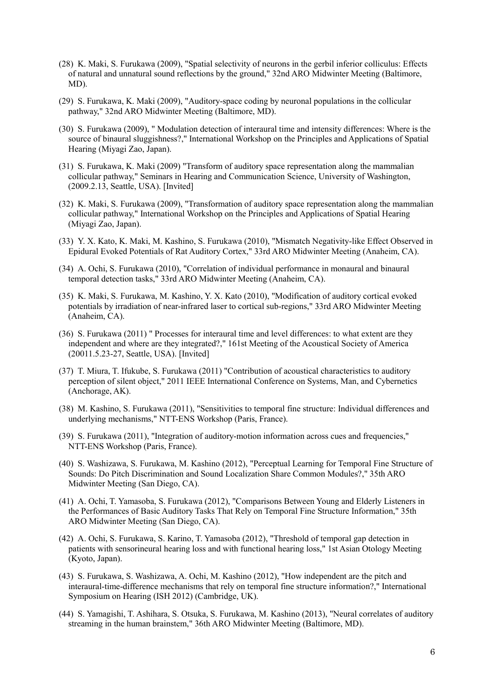- (28) K. Maki, S. Furukawa (2009), "Spatial selectivity of neurons in the gerbil inferior colliculus: Effects of natural and unnatural sound reflections by the ground," 32nd ARO Midwinter Meeting (Baltimore, MD).
- (29) S. Furukawa, K. Maki (2009), "Auditory-space coding by neuronal populations in the collicular pathway," 32nd ARO Midwinter Meeting (Baltimore, MD).
- (30) S. Furukawa (2009), " Modulation detection of interaural time and intensity differences: Where is the source of binaural sluggishness?," International Workshop on the Principles and Applications of Spatial Hearing (Miyagi Zao, Japan).
- (31) S. Furukawa, K. Maki (2009) "Transform of auditory space representation along the mammalian collicular pathway," Seminars in Hearing and Communication Science, University of Washington, (2009.2.13, Seattle, USA). [Invited]
- (32) K. Maki, S. Furukawa (2009), "Transformation of auditory space representation along the mammalian collicular pathway," International Workshop on the Principles and Applications of Spatial Hearing (Miyagi Zao, Japan).
- (33) Y. X. Kato, K. Maki, M. Kashino, S. Furukawa (2010), "Mismatch Negativity-like Effect Observed in Epidural Evoked Potentials of Rat Auditory Cortex," 33rd ARO Midwinter Meeting (Anaheim, CA).
- (34) A. Ochi, S. Furukawa (2010), "Correlation of individual performance in monaural and binaural temporal detection tasks," 33rd ARO Midwinter Meeting (Anaheim, CA).
- (35) K. Maki, S. Furukawa, M. Kashino, Y. X. Kato (2010), "Modification of auditory cortical evoked potentials by irradiation of near-infrared laser to cortical sub-regions," 33rd ARO Midwinter Meeting (Anaheim, CA).
- (36) S. Furukawa (2011) " Processes for interaural time and level differences: to what extent are they independent and where are they integrated?," 161st Meeting of the Acoustical Society of America (20011.5.23-27, Seattle, USA). [Invited]
- (37) T. Miura, T. Ifukube, S. Furukawa (2011) "Contribution of acoustical characteristics to auditory perception of silent object," 2011 IEEE International Conference on Systems, Man, and Cybernetics (Anchorage, AK).
- (38) M. Kashino, S. Furukawa (2011), "Sensitivities to temporal fine structure: Individual differences and underlying mechanisms," NTT-ENS Workshop (Paris, France).
- (39) S. Furukawa (2011), "Integration of auditory-motion information across cues and frequencies," NTT-ENS Workshop (Paris, France).
- (40) S. Washizawa, S. Furukawa, M. Kashino (2012), "Perceptual Learning for Temporal Fine Structure of Sounds: Do Pitch Discrimination and Sound Localization Share Common Modules?," 35th ARO Midwinter Meeting (San Diego, CA).
- (41) A. Ochi, T. Yamasoba, S. Furukawa (2012), "Comparisons Between Young and Elderly Listeners in the Performances of Basic Auditory Tasks That Rely on Temporal Fine Structure Information," 35th ARO Midwinter Meeting (San Diego, CA).
- (42) A. Ochi, S. Furukawa, S. Karino, T. Yamasoba (2012), "Threshold of temporal gap detection in patients with sensorineural hearing loss and with functional hearing loss," 1st Asian Otology Meeting (Kyoto, Japan).
- (43) S. Furukawa, S. Washizawa, A. Ochi, M. Kashino (2012), "How independent are the pitch and interaural-time-difference mechanisms that rely on temporal fine structure information?," International Symposium on Hearing (ISH 2012) (Cambridge, UK).
- (44) S. Yamagishi, T. Ashihara, S. Otsuka, S. Furukawa, M. Kashino (2013), "Neural correlates of auditory streaming in the human brainstem," 36th ARO Midwinter Meeting (Baltimore, MD).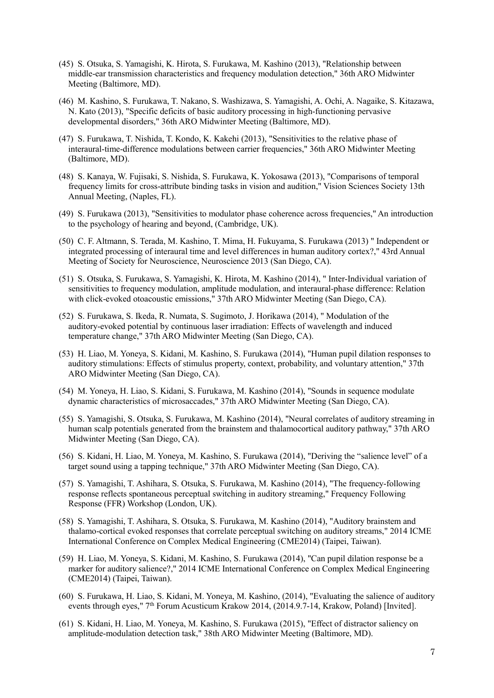- (45) S. Otsuka, S. Yamagishi, K. Hirota, S. Furukawa, M. Kashino (2013), "Relationship between middle-ear transmission characteristics and frequency modulation detection," 36th ARO Midwinter Meeting (Baltimore, MD).
- (46) M. Kashino, S. Furukawa, T. Nakano, S. Washizawa, S. Yamagishi, A. Ochi, A. Nagaike, S. Kitazawa, N. Kato (2013), "Specific deficits of basic auditory processing in high-functioning pervasive developmental disorders," 36th ARO Midwinter Meeting (Baltimore, MD).
- (47) S. Furukawa, T. Nishida, T. Kondo, K. Kakehi (2013), "Sensitivities to the relative phase of interaural-time-difference modulations between carrier frequencies," 36th ARO Midwinter Meeting (Baltimore, MD).
- (48) S. Kanaya, W. Fujisaki, S. Nishida, S. Furukawa, K. Yokosawa (2013), "Comparisons of temporal frequency limits for cross-attribute binding tasks in vision and audition," Vision Sciences Society 13th Annual Meeting, (Naples, FL).
- (49) S. Furukawa (2013), "Sensitivities to modulator phase coherence across frequencies," An introduction to the psychology of hearing and beyond, (Cambridge, UK).
- (50) C. F. Altmann, S. Terada, M. Kashino, T. Mima, H. Fukuyama, S. Furukawa (2013) " Independent or integrated processing of interaural time and level differences in human auditory cortex?," 43rd Annual Meeting of Society for Neuroscience, Neuroscience 2013 (San Diego, CA).
- (51) S. Otsuka, S. Furukawa, S. Yamagishi, K. Hirota, M. Kashino (2014), " Inter-Individual variation of sensitivities to frequency modulation, amplitude modulation, and interaural-phase difference: Relation with click-evoked otoacoustic emissions," 37th ARO Midwinter Meeting (San Diego, CA).
- (52) S. Furukawa, S. Ikeda, R. Numata, S. Sugimoto, J. Horikawa (2014), " Modulation of the auditory-evoked potential by continuous laser irradiation: Effects of wavelength and induced temperature change," 37th ARO Midwinter Meeting (San Diego, CA).
- (53) H. Liao, M. Yoneya, S. Kidani, M. Kashino, S. Furukawa (2014), "Human pupil dilation responses to auditory stimulations: Effects of stimulus property, context, probability, and voluntary attention," 37th ARO Midwinter Meeting (San Diego, CA).
- (54) M. Yoneya, H. Liao, S. Kidani, S. Furukawa, M. Kashino (2014), "Sounds in sequence modulate dynamic characteristics of microsaccades," 37th ARO Midwinter Meeting (San Diego, CA).
- (55) S. Yamagishi, S. Otsuka, S. Furukawa, M. Kashino (2014), "Neural correlates of auditory streaming in human scalp potentials generated from the brainstem and thalamocortical auditory pathway," 37th ARO Midwinter Meeting (San Diego, CA).
- (56) S. Kidani, H. Liao, M. Yoneya, M. Kashino, S. Furukawa (2014), "Deriving the "salience level" of a target sound using a tapping technique," 37th ARO Midwinter Meeting (San Diego, CA).
- (57) S. Yamagishi, T. Ashihara, S. Otsuka, S. Furukawa, M. Kashino (2014), "The frequency-following response reflects spontaneous perceptual switching in auditory streaming," Frequency Following Response (FFR) Workshop (London, UK).
- (58) S. Yamagishi, T. Ashihara, S. Otsuka, S. Furukawa, M. Kashino (2014), "Auditory brainstem and thalamo-cortical evoked responses that correlate perceptual switching on auditory streams," 2014 ICME International Conference on Complex Medical Engineering (CME2014) (Taipei, Taiwan).
- (59) H. Liao, M. Yoneya, S. Kidani, M. Kashino, S. Furukawa (2014), "Can pupil dilation response be a marker for auditory salience?," 2014 ICME International Conference on Complex Medical Engineering (CME2014) (Taipei, Taiwan).
- (60) S. Furukawa, H. Liao, S. Kidani, M. Yoneya, M. Kashino, (2014), "Evaluating the salience of auditory events through eyes," 7<sup>th</sup> Forum Acusticum Krakow 2014, (2014.9.7-14, Krakow, Poland) [Invited].
- (61) S. Kidani, H. Liao, M. Yoneya, M. Kashino, S. Furukawa (2015), "Effect of distractor saliency on amplitude-modulation detection task," 38th ARO Midwinter Meeting (Baltimore, MD).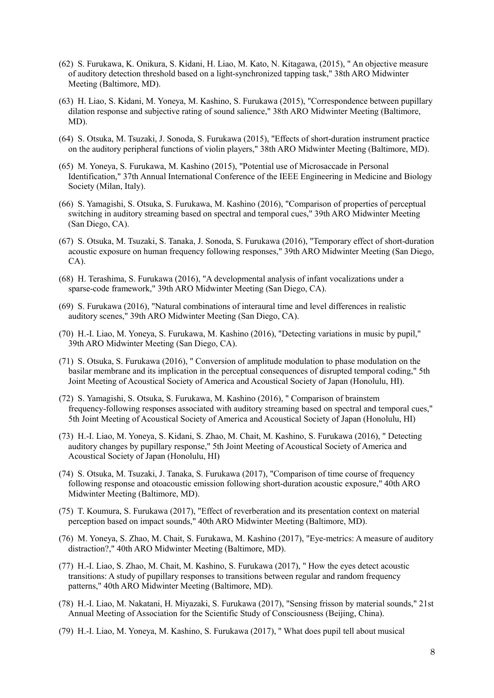- (62) S. Furukawa, K. Onikura, S. Kidani, H. Liao, M. Kato, N. Kitagawa, (2015), " An objective measure of auditory detection threshold based on a light-synchronized tapping task," 38th ARO Midwinter Meeting (Baltimore, MD).
- (63) H. Liao, S. Kidani, M. Yoneya, M. Kashino, S. Furukawa (2015), "Correspondence between pupillary dilation response and subjective rating of sound salience," 38th ARO Midwinter Meeting (Baltimore, MD).
- (64) S. Otsuka, M. Tsuzaki, J. Sonoda, S. Furukawa (2015), "Effects of short-duration instrument practice on the auditory peripheral functions of violin players," 38th ARO Midwinter Meeting (Baltimore, MD).
- (65) M. Yoneya, S. Furukawa, M. Kashino (2015), "Potential use of Microsaccade in Personal Identification," 37th Annual International Conference of the IEEE Engineering in Medicine and Biology Society (Milan, Italy).
- (66) S. Yamagishi, S. Otsuka, S. Furukawa, M. Kashino (2016), "Comparison of properties of perceptual switching in auditory streaming based on spectral and temporal cues," 39th ARO Midwinter Meeting (San Diego, CA).
- (67) S. Otsuka, M. Tsuzaki, S. Tanaka, J. Sonoda, S. Furukawa (2016), "Temporary effect of short-duration acoustic exposure on human frequency following responses," 39th ARO Midwinter Meeting (San Diego, CA).
- (68) H. Terashima, S. Furukawa (2016), "A developmental analysis of infant vocalizations under a sparse-code framework," 39th ARO Midwinter Meeting (San Diego, CA).
- (69) S. Furukawa (2016), "Natural combinations of interaural time and level differences in realistic auditory scenes," 39th ARO Midwinter Meeting (San Diego, CA).
- (70) H.-I. Liao, M. Yoneya, S. Furukawa, M. Kashino (2016), "Detecting variations in music by pupil," 39th ARO Midwinter Meeting (San Diego, CA).
- (71) S. Otsuka, S. Furukawa (2016), " Conversion of amplitude modulation to phase modulation on the basilar membrane and its implication in the perceptual consequences of disrupted temporal coding," 5th Joint Meeting of Acoustical Society of America and Acoustical Society of Japan (Honolulu, HI).
- (72) S. Yamagishi, S. Otsuka, S. Furukawa, M. Kashino (2016), " Comparison of brainstem frequency-following responses associated with auditory streaming based on spectral and temporal cues," 5th Joint Meeting of Acoustical Society of America and Acoustical Society of Japan (Honolulu, HI)
- (73) H.-I. Liao, M. Yoneya, S. Kidani, S. Zhao, M. Chait, M. Kashino, S. Furukawa (2016), " Detecting auditory changes by pupillary response," 5th Joint Meeting of Acoustical Society of America and Acoustical Society of Japan (Honolulu, HI)
- (74) S. Otsuka, M. Tsuzaki, J. Tanaka, S. Furukawa (2017), "Comparison of time course of frequency following response and otoacoustic emission following short-duration acoustic exposure," 40th ARO Midwinter Meeting (Baltimore, MD).
- (75) T. Koumura, S. Furukawa (2017), "Effect of reverberation and its presentation context on material perception based on impact sounds," 40th ARO Midwinter Meeting (Baltimore, MD).
- (76) M. Yoneya, S. Zhao, M. Chait, S. Furukawa, M. Kashino (2017), "Eye-metrics: A measure of auditory distraction?," 40th ARO Midwinter Meeting (Baltimore, MD).
- (77) H.-I. Liao, S. Zhao, M. Chait, M. Kashino, S. Furukawa (2017), " How the eyes detect acoustic transitions: A study of pupillary responses to transitions between regular and random frequency patterns," 40th ARO Midwinter Meeting (Baltimore, MD).
- (78) H.-I. Liao, M. Nakatani, H. Miyazaki, S. Furukawa (2017), "Sensing frisson by material sounds," 21st Annual Meeting of Association for the Scientific Study of Consciousness (Beijing, China).
- (79) H.-I. Liao, M. Yoneya, M. Kashino, S. Furukawa (2017), " What does pupil tell about musical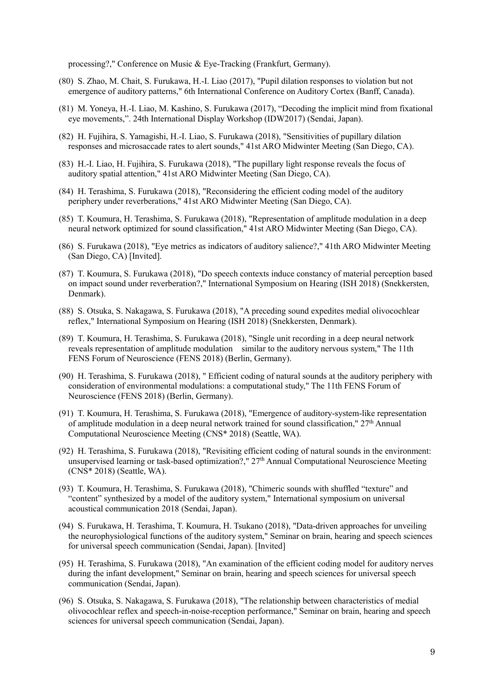processing?," Conference on Music & Eye-Tracking (Frankfurt, Germany).

- (80) S. Zhao, M. Chait, S. Furukawa, H.-I. Liao (2017), "Pupil dilation responses to violation but not emergence of auditory patterns," 6th International Conference on Auditory Cortex (Banff, Canada).
- (81) M. Yoneya, H.-I. Liao, M. Kashino, S. Furukawa (2017), "Decoding the implicit mind from fixational eye movements,". 24th International Display Workshop (IDW2017) (Sendai, Japan).
- (82) H. Fujihira, S. Yamagishi, H.-I. Liao, S. Furukawa (2018), "Sensitivities of pupillary dilation responses and microsaccade rates to alert sounds," 41st ARO Midwinter Meeting (San Diego, CA).
- (83) H.-I. Liao, H. Fujihira, S. Furukawa (2018), "The pupillary light response reveals the focus of auditory spatial attention," 41st ARO Midwinter Meeting (San Diego, CA).
- (84) H. Terashima, S. Furukawa (2018), "Reconsidering the efficient coding model of the auditory periphery under reverberations," 41st ARO Midwinter Meeting (San Diego, CA).
- (85) T. Koumura, H. Terashima, S. Furukawa (2018), "Representation of amplitude modulation in a deep neural network optimized for sound classification," 41st ARO Midwinter Meeting (San Diego, CA).
- (86) S. Furukawa (2018), "Eye metrics as indicators of auditory salience?," 41th ARO Midwinter Meeting (San Diego, CA) [Invited].
- (87) T. Koumura, S. Furukawa (2018), "Do speech contexts induce constancy of material perception based on impact sound under reverberation?," International Symposium on Hearing (ISH 2018) (Snekkersten, Denmark).
- (88) S. Otsuka, S. Nakagawa, S. Furukawa (2018), "A preceding sound expedites medial olivocochlear reflex," International Symposium on Hearing (ISH 2018) (Snekkersten, Denmark).
- (89) T. Koumura, H. Terashima, S. Furukawa (2018), "Single unit recording in a deep neural network reveals representation of amplitude modulation similar to the auditory nervous system," The 11th FENS Forum of Neuroscience (FENS 2018) (Berlin, Germany).
- (90) H. Terashima, S. Furukawa (2018), " Efficient coding of natural sounds at the auditory periphery with consideration of environmental modulations: a computational study," The 11th FENS Forum of Neuroscience (FENS 2018) (Berlin, Germany).
- (91) T. Koumura, H. Terashima, S. Furukawa (2018), "Emergence of auditory-system-like representation of amplitude modulation in a deep neural network trained for sound classification," 27th Annual Computational Neuroscience Meeting (CNS\* 2018) (Seattle, WA).
- (92) H. Terashima, S. Furukawa (2018), "Revisiting efficient coding of natural sounds in the environment: unsupervised learning or task-based optimization?,"  $27<sup>th</sup>$  Annual Computational Neuroscience Meeting (CNS\* 2018) (Seattle, WA).
- (93) T. Koumura, H. Terashima, S. Furukawa (2018), "Chimeric sounds with shuffled "texture" and "content" synthesized by a model of the auditory system," International symposium on universal acoustical communication 2018 (Sendai, Japan).
- (94) S. Furukawa, H. Terashima, T. Koumura, H. Tsukano (2018), "Data-driven approaches for unveiling the neurophysiological functions of the auditory system," Seminar on brain, hearing and speech sciences for universal speech communication (Sendai, Japan). [Invited]
- (95) H. Terashima, S. Furukawa (2018), "An examination of the efficient coding model for auditory nerves during the infant development," Seminar on brain, hearing and speech sciences for universal speech communication (Sendai, Japan).
- (96) S. Otsuka, S. Nakagawa, S. Furukawa (2018), "The relationship between characteristics of medial olivocochlear reflex and speech-in-noise-reception performance," Seminar on brain, hearing and speech sciences for universal speech communication (Sendai, Japan).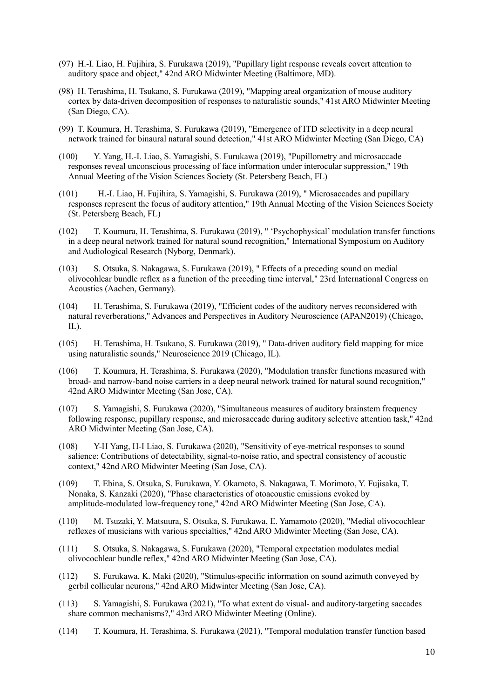- (97) H.-I. Liao, H. Fujihira, S. Furukawa (2019), "Pupillary light response reveals covert attention to auditory space and object," 42nd ARO Midwinter Meeting (Baltimore, MD).
- (98) H. Terashima, H. Tsukano, S. Furukawa (2019), "Mapping areal organization of mouse auditory cortex by data-driven decomposition of responses to naturalistic sounds," 41st ARO Midwinter Meeting (San Diego, CA).
- (99) T. Koumura, H. Terashima, S. Furukawa (2019), "Emergence of ITD selectivity in a deep neural network trained for binaural natural sound detection," 41st ARO Midwinter Meeting (San Diego, CA)
- (100) Y. Yang, H.-I. Liao, S. Yamagishi, S. Furukawa (2019), "Pupillometry and microsaccade responses reveal unconscious processing of face information under interocular suppression," 19th Annual Meeting of the Vision Sciences Society (St. Petersberg Beach, FL)
- (101) H.-I. Liao, H. Fujihira, S. Yamagishi, S. Furukawa (2019), " Microsaccades and pupillary responses represent the focus of auditory attention," 19th Annual Meeting of the Vision Sciences Society (St. Petersberg Beach, FL)
- (102) T. Koumura, H. Terashima, S. Furukawa (2019), " 'Psychophysical' modulation transfer functions in a deep neural network trained for natural sound recognition," International Symposium on Auditory and Audiological Research (Nyborg, Denmark).
- (103) S. Otsuka, S. Nakagawa, S. Furukawa (2019), " Effects of a preceding sound on medial olivocohlear bundle reflex as a function of the preceding time interval," 23rd International Congress on Acoustics (Aachen, Germany).
- (104) H. Terashima, S. Furukawa (2019), "Efficient codes of the auditory nerves reconsidered with natural reverberations," Advances and Perspectives in Auditory Neuroscience (APAN2019) (Chicago, IL).
- (105) H. Terashima, H. Tsukano, S. Furukawa (2019), " Data-driven auditory field mapping for mice using naturalistic sounds," Neuroscience 2019 (Chicago, IL).
- (106) T. Koumura, H. Terashima, S. Furukawa (2020), "Modulation transfer functions measured with broad- and narrow-band noise carriers in a deep neural network trained for natural sound recognition," 42nd ARO Midwinter Meeting (San Jose, CA).
- (107) S. Yamagishi, S. Furukawa (2020), "Simultaneous measures of auditory brainstem frequency following response, pupillary response, and microsaccade during auditory selective attention task," 42nd ARO Midwinter Meeting (San Jose, CA).
- (108) Y-H Yang, H-I Liao, S. Furukawa (2020), "Sensitivity of eye-metrical responses to sound salience: Contributions of detectability, signal-to-noise ratio, and spectral consistency of acoustic context," 42nd ARO Midwinter Meeting (San Jose, CA).
- (109) T. Ebina, S. Otsuka, S. Furukawa, Y. Okamoto, S. Nakagawa, T. Morimoto, Y. Fujisaka, T. Nonaka, S. Kanzaki (2020), "Phase characteristics of otoacoustic emissions evoked by amplitude-modulated low-frequency tone," 42nd ARO Midwinter Meeting (San Jose, CA).
- (110) M. Tsuzaki, Y. Matsuura, S. Otsuka, S. Furukawa, E. Yamamoto (2020), "Medial olivocochlear reflexes of musicians with various specialties," 42nd ARO Midwinter Meeting (San Jose, CA).
- (111) S. Otsuka, S. Nakagawa, S. Furukawa (2020), "Temporal expectation modulates medial olivocochlear bundle reflex," 42nd ARO Midwinter Meeting (San Jose, CA).
- (112) S. Furukawa, K. Maki (2020), "Stimulus-specific information on sound azimuth conveyed by gerbil collicular neurons," 42nd ARO Midwinter Meeting (San Jose, CA).
- (113) S. Yamagishi, S. Furukawa (2021), "To what extent do visual- and auditory-targeting saccades share common mechanisms?," 43rd ARO Midwinter Meeting (Online).
- (114) T. Koumura, H. Terashima, S. Furukawa (2021), "Temporal modulation transfer function based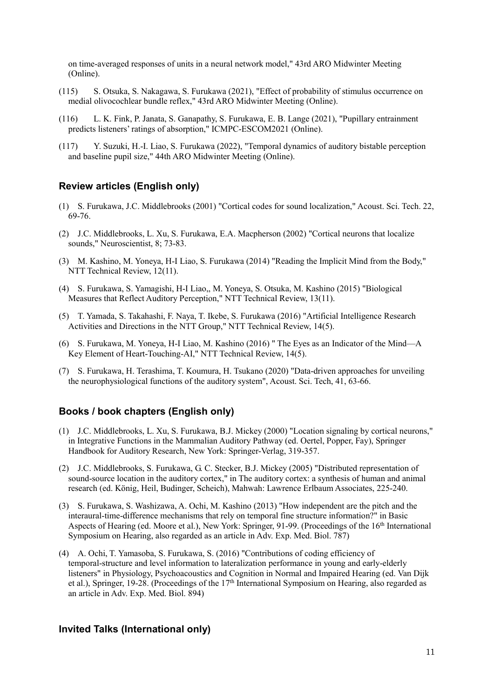on time-averaged responses of units in a neural network model," 43rd ARO Midwinter Meeting (Online).

- (115) S. Otsuka, S. Nakagawa, S. Furukawa (2021), "Effect of probability of stimulus occurrence on medial olivocochlear bundle reflex," 43rd ARO Midwinter Meeting (Online).
- (116) L. K. Fink, P. Janata, S. Ganapathy, S. Furukawa, E. B. Lange (2021), "Pupillary entrainment predicts listeners' ratings of absorption," ICMPC-ESCOM2021 (Online).
- (117) Y. Suzuki, H.-I. Liao, S. Furukawa (2022), "Temporal dynamics of auditory bistable perception and baseline pupil size," 44th ARO Midwinter Meeting (Online).

## **Review articles (English only)**

- (1) S. Furukawa, J.C. Middlebrooks (2001) "Cortical codes for sound localization," Acoust. Sci. Tech. 22, 69-76.
- (2) J.C. Middlebrooks, L. Xu, S. Furukawa, E.A. Macpherson (2002) "Cortical neurons that localize sounds," Neuroscientist, 8; 73-83.
- (3) M. Kashino, M. Yoneya, H-I Liao, S. Furukawa (2014) "Reading the Implicit Mind from the Body," NTT Technical Review, 12(11).
- (4) S. Furukawa, S. Yamagishi, H-I Liao,, M. Yoneya, S. Otsuka, M. Kashino (2015) "Biological Measures that Reflect Auditory Perception," NTT Technical Review, 13(11).
- (5) T. Yamada, S. Takahashi, F. Naya, T. Ikebe, S. Furukawa (2016) "Artificial Intelligence Research Activities and Directions in the NTT Group," NTT Technical Review, 14(5).
- (6) S. Furukawa, M. Yoneya, H-I Liao, M. Kashino (2016) " The Eyes as an Indicator of the Mind—A Key Element of Heart-Touching-AI," NTT Technical Review, 14(5).
- (7) S. Furukawa, H. Terashima, T. Koumura, H. Tsukano (2020) "Data-driven approaches for unveiling the neurophysiological functions of the auditory system", Acoust. Sci. Tech, 41, 63-66.

#### **Books / book chapters (English only)**

- (1) J.C. Middlebrooks, L. Xu, S. Furukawa, B.J. Mickey (2000) "Location signaling by cortical neurons," in Integrative Functions in the Mammalian Auditory Pathway (ed. Oertel, Popper, Fay), Springer Handbook for Auditory Research, New York: Springer-Verlag, 319-357.
- (2) J.C. Middlebrooks, S. Furukawa, G. C. Stecker, B.J. Mickey (2005) "Distributed representation of sound-source location in the auditory cortex," in The auditory cortex: a synthesis of human and animal research (ed. König, Heil, Budinger, Scheich), Mahwah: Lawrence Erlbaum Associates, 225-240.
- (3) S. Furukawa, S. Washizawa, A. Ochi, M. Kashino (2013) "How independent are the pitch and the interaural-time-difference mechanisms that rely on temporal fine structure information?" in Basic Aspects of Hearing (ed. Moore et al.), New York: Springer, 91-99. (Proceedings of the 16th International Symposium on Hearing, also regarded as an article in Adv. Exp. Med. Biol. 787)
- (4) A. Ochi, T. Yamasoba, S. Furukawa, S. (2016) "Contributions of coding efficiency of temporal-structure and level information to lateralization performance in young and early-elderly listeners" in Physiology, Psychoacoustics and Cognition in Normal and Impaired Hearing (ed. Van Dijk et al.), Springer, 19-28. (Proceedings of the 17th International Symposium on Hearing, also regarded as an article in Adv. Exp. Med. Biol. 894)

#### **Invited Talks (International only)**